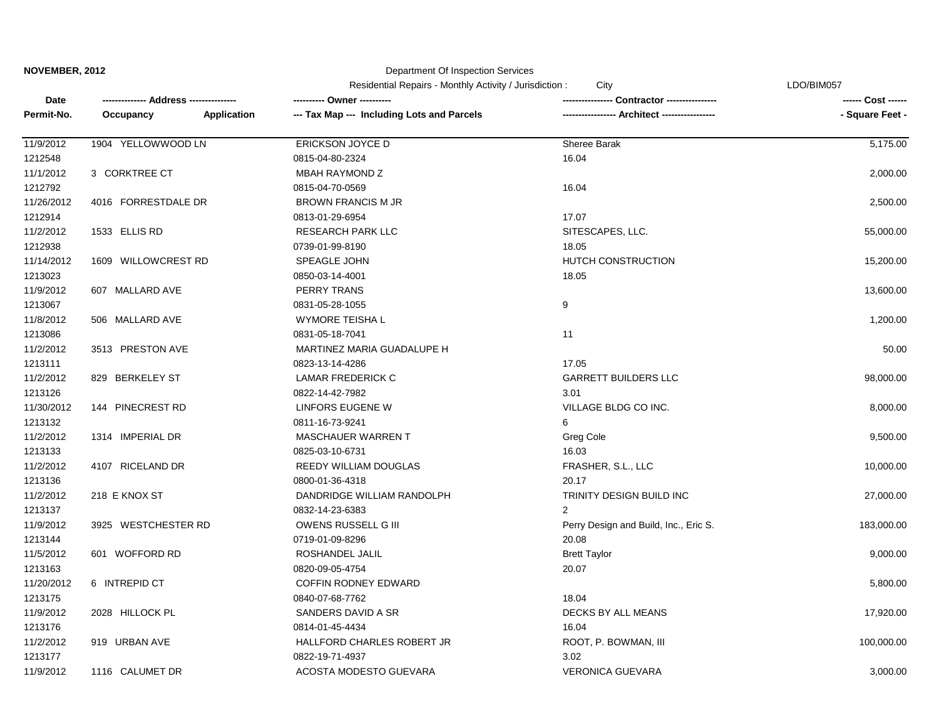#### Department Of Inspection Services

|            | --- Address ----------- |             | Residential Repairs - Monthly Activity / Jurisdiction :<br>City |                                       | LDO/BIM057         |  |
|------------|-------------------------|-------------|-----------------------------------------------------------------|---------------------------------------|--------------------|--|
| Date       |                         |             | ---------- Owner ----------                                     | Contractor ----------------           | ------ Cost ------ |  |
| Permit-No. | Occupancy               | Application | --- Tax Map --- Including Lots and Parcels                      |                                       | - Square Feet -    |  |
| 11/9/2012  | 1904 YELLOWWOOD LN      |             | ERICKSON JOYCE D                                                | Sheree Barak                          | 5,175.00           |  |
| 1212548    |                         |             | 0815-04-80-2324                                                 | 16.04                                 |                    |  |
| 11/1/2012  | 3 CORKTREE CT           |             | <b>MBAH RAYMOND Z</b>                                           |                                       | 2,000.00           |  |
| 1212792    |                         |             | 0815-04-70-0569                                                 | 16.04                                 |                    |  |
| 11/26/2012 | 4016 FORRESTDALE DR     |             | <b>BROWN FRANCIS M JR</b>                                       |                                       | 2,500.00           |  |
| 1212914    |                         |             | 0813-01-29-6954                                                 | 17.07                                 |                    |  |
| 11/2/2012  | 1533 ELLIS RD           |             | <b>RESEARCH PARK LLC</b>                                        | SITESCAPES, LLC.                      | 55,000.00          |  |
| 1212938    |                         |             | 0739-01-99-8190                                                 | 18.05                                 |                    |  |
| 11/14/2012 | 1609 WILLOWCREST RD     |             | SPEAGLE JOHN                                                    | HUTCH CONSTRUCTION                    | 15,200.00          |  |
| 1213023    |                         |             | 0850-03-14-4001                                                 | 18.05                                 |                    |  |
| 11/9/2012  | 607 MALLARD AVE         |             | <b>PERRY TRANS</b>                                              |                                       | 13,600.00          |  |
| 1213067    |                         |             | 0831-05-28-1055                                                 | 9                                     |                    |  |
| 11/8/2012  | 506 MALLARD AVE         |             | <b>WYMORE TEISHA L</b>                                          |                                       | 1,200.00           |  |
| 1213086    |                         |             | 0831-05-18-7041                                                 | 11                                    |                    |  |
| 11/2/2012  | 3513 PRESTON AVE        |             | MARTINEZ MARIA GUADALUPE H                                      |                                       | 50.00              |  |
| 1213111    |                         |             | 0823-13-14-4286                                                 | 17.05                                 |                    |  |
| 11/2/2012  | 829 BERKELEY ST         |             | LAMAR FREDERICK C                                               | <b>GARRETT BUILDERS LLC</b>           | 98,000.00          |  |
| 1213126    |                         |             | 0822-14-42-7982                                                 | 3.01                                  |                    |  |
| 11/30/2012 | 144 PINECREST RD        |             | LINFORS EUGENE W                                                | VILLAGE BLDG CO INC.                  | 8,000.00           |  |
| 1213132    |                         |             | 0811-16-73-9241                                                 | 6                                     |                    |  |
| 11/2/2012  | 1314 IMPERIAL DR        |             | MASCHAUER WARREN T                                              | Greg Cole                             | 9,500.00           |  |
| 1213133    |                         |             | 0825-03-10-6731                                                 | 16.03                                 |                    |  |
| 11/2/2012  | 4107 RICELAND DR        |             | REEDY WILLIAM DOUGLAS                                           | FRASHER, S.L., LLC                    | 10,000.00          |  |
| 1213136    |                         |             | 0800-01-36-4318                                                 | 20.17                                 |                    |  |
| 11/2/2012  | 218 E KNOX ST           |             | DANDRIDGE WILLIAM RANDOLPH                                      | TRINITY DESIGN BUILD INC              | 27,000.00          |  |
| 1213137    |                         |             | 0832-14-23-6383                                                 | $\overline{2}$                        |                    |  |
| 11/9/2012  | 3925 WESTCHESTER RD     |             | OWENS RUSSELL G III                                             | Perry Design and Build, Inc., Eric S. | 183,000.00         |  |
| 1213144    |                         |             | 0719-01-09-8296                                                 | 20.08                                 |                    |  |
| 11/5/2012  | 601 WOFFORD RD          |             | ROSHANDEL JALIL                                                 | <b>Brett Taylor</b>                   | 9,000.00           |  |
| 1213163    |                         |             | 0820-09-05-4754                                                 | 20.07                                 |                    |  |
| 11/20/2012 | 6 INTREPID CT           |             | COFFIN RODNEY EDWARD                                            |                                       | 5,800.00           |  |
| 1213175    |                         |             | 0840-07-68-7762                                                 | 18.04                                 |                    |  |
| 11/9/2012  | 2028 HILLOCK PL         |             | SANDERS DAVID A SR                                              | DECKS BY ALL MEANS                    | 17,920.00          |  |
| 1213176    |                         |             | 0814-01-45-4434                                                 | 16.04                                 |                    |  |
| 11/2/2012  | 919 URBAN AVE           |             | HALLFORD CHARLES ROBERT JR                                      | ROOT, P. BOWMAN, III                  | 100,000.00         |  |
| 1213177    |                         |             | 0822-19-71-4937                                                 | 3.02                                  |                    |  |
| 11/9/2012  | 1116 CALUMET DR         |             | ACOSTA MODESTO GUEVARA                                          | <b>VERONICA GUEVARA</b>               | 3,000.00           |  |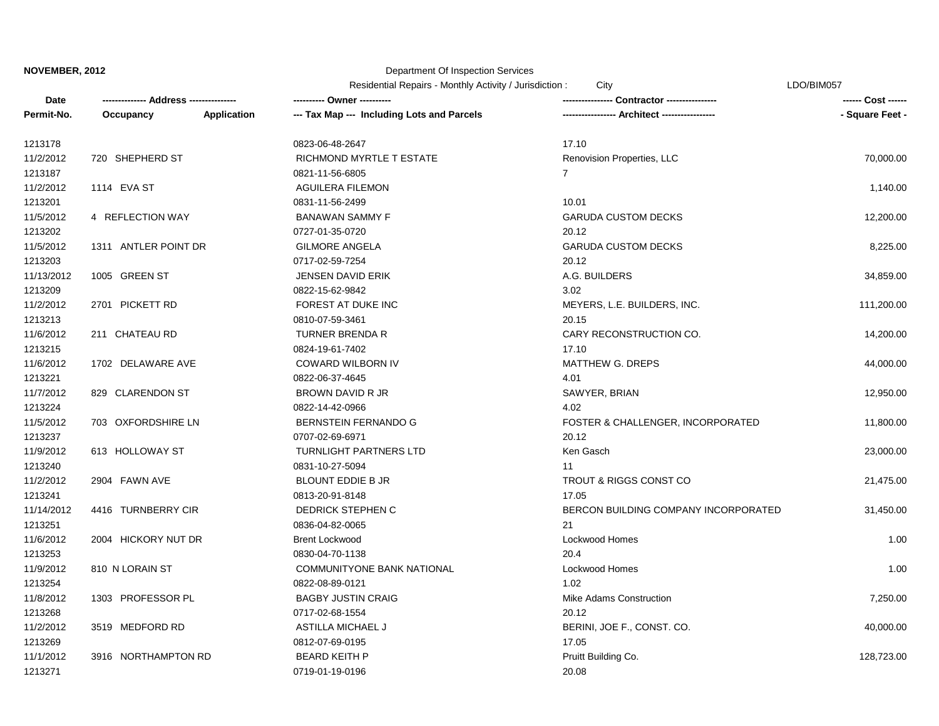# Department Of Inspection Services

|            |                       |                    | Residential Repairs - Monthly Activity / Jurisdiction :<br>City |                                      | LDO/BIM057      |  |
|------------|-----------------------|--------------------|-----------------------------------------------------------------|--------------------------------------|-----------------|--|
| Date       | <b>Address ------</b> |                    |                                                                 | <b>Contractor -------------</b>      |                 |  |
| Permit-No. | Occupancy             | <b>Application</b> | --- Tax Map --- Including Lots and Parcels                      | - Architect -------------            | - Square Feet - |  |
| 1213178    |                       |                    | 0823-06-48-2647                                                 | 17.10                                |                 |  |
| 11/2/2012  | 720 SHEPHERD ST       |                    | RICHMOND MYRTLE T ESTATE                                        | Renovision Properties, LLC           | 70,000.00       |  |
| 1213187    |                       |                    | 0821-11-56-6805                                                 | $\overline{7}$                       |                 |  |
| 11/2/2012  | 1114 EVA ST           |                    | <b>AGUILERA FILEMON</b>                                         |                                      | 1,140.00        |  |
| 1213201    |                       |                    | 0831-11-56-2499                                                 | 10.01                                |                 |  |
| 11/5/2012  | 4 REFLECTION WAY      |                    | <b>BANAWAN SAMMY F</b>                                          | <b>GARUDA CUSTOM DECKS</b>           | 12,200.00       |  |
| 1213202    |                       |                    | 0727-01-35-0720                                                 | 20.12                                |                 |  |
| 11/5/2012  | 1311 ANTLER POINT DR  |                    | <b>GILMORE ANGELA</b>                                           | <b>GARUDA CUSTOM DECKS</b>           | 8,225.00        |  |
| 1213203    |                       |                    | 0717-02-59-7254                                                 | 20.12                                |                 |  |
| 11/13/2012 | 1005 GREEN ST         |                    | <b>JENSEN DAVID ERIK</b>                                        | A.G. BUILDERS                        | 34,859.00       |  |
| 1213209    |                       |                    | 0822-15-62-9842                                                 | 3.02                                 |                 |  |
| 11/2/2012  | 2701 PICKETT RD       |                    | FOREST AT DUKE INC                                              | MEYERS, L.E. BUILDERS, INC.          | 111,200.00      |  |
| 1213213    |                       |                    | 0810-07-59-3461                                                 | 20.15                                |                 |  |
| 11/6/2012  | 211 CHATEAU RD        |                    | <b>TURNER BRENDA R</b>                                          | CARY RECONSTRUCTION CO.              | 14,200.00       |  |
| 1213215    |                       |                    | 0824-19-61-7402                                                 | 17.10                                |                 |  |
| 11/6/2012  | 1702 DELAWARE AVE     |                    | COWARD WILBORN IV                                               | <b>MATTHEW G. DREPS</b>              | 44,000.00       |  |
| 1213221    |                       |                    | 0822-06-37-4645                                                 | 4.01                                 |                 |  |
| 11/7/2012  | 829 CLARENDON ST      |                    | BROWN DAVID R JR                                                | SAWYER, BRIAN                        | 12,950.00       |  |
| 1213224    |                       |                    | 0822-14-42-0966                                                 | 4.02                                 |                 |  |
| 11/5/2012  | 703 OXFORDSHIRE LN    |                    | BERNSTEIN FERNANDO G                                            | FOSTER & CHALLENGER, INCORPORATED    | 11,800.00       |  |
| 1213237    |                       |                    | 0707-02-69-6971                                                 | 20.12                                |                 |  |
| 11/9/2012  | 613 HOLLOWAY ST       |                    | <b>TURNLIGHT PARTNERS LTD</b>                                   | Ken Gasch                            | 23,000.00       |  |
| 1213240    |                       |                    | 0831-10-27-5094                                                 | 11                                   |                 |  |
| 11/2/2012  | 2904 FAWN AVE         |                    | <b>BLOUNT EDDIE B JR</b>                                        | TROUT & RIGGS CONST CO               | 21,475.00       |  |
| 1213241    |                       |                    | 0813-20-91-8148                                                 | 17.05                                |                 |  |
| 11/14/2012 | 4416 TURNBERRY CIR    |                    | DEDRICK STEPHEN C                                               | BERCON BUILDING COMPANY INCORPORATED | 31,450.00       |  |
| 1213251    |                       |                    | 0836-04-82-0065                                                 | 21                                   |                 |  |
| 11/6/2012  | 2004 HICKORY NUT DR   |                    | <b>Brent Lockwood</b>                                           | Lockwood Homes                       | 1.00            |  |
| 1213253    |                       |                    | 0830-04-70-1138                                                 | 20.4                                 |                 |  |
| 11/9/2012  | 810 N LORAIN ST       |                    | <b>COMMUNITYONE BANK NATIONAL</b>                               | Lockwood Homes                       | 1.00            |  |
| 1213254    |                       |                    | 0822-08-89-0121                                                 | 1.02                                 |                 |  |
| 11/8/2012  | 1303 PROFESSOR PL     |                    | <b>BAGBY JUSTIN CRAIG</b>                                       | Mike Adams Construction              | 7,250.00        |  |
| 1213268    |                       |                    | 0717-02-68-1554                                                 | 20.12                                |                 |  |
| 11/2/2012  | 3519 MEDFORD RD       |                    | <b>ASTILLA MICHAEL J</b>                                        | BERINI, JOE F., CONST. CO.           | 40,000.00       |  |
| 1213269    |                       |                    | 0812-07-69-0195                                                 | 17.05                                |                 |  |
| 11/1/2012  | 3916 NORTHAMPTON RD   |                    | <b>BEARD KEITH P</b>                                            | Pruitt Building Co.                  | 128,723.00      |  |
| 1213271    |                       |                    | 0719-01-19-0196                                                 | 20.08                                |                 |  |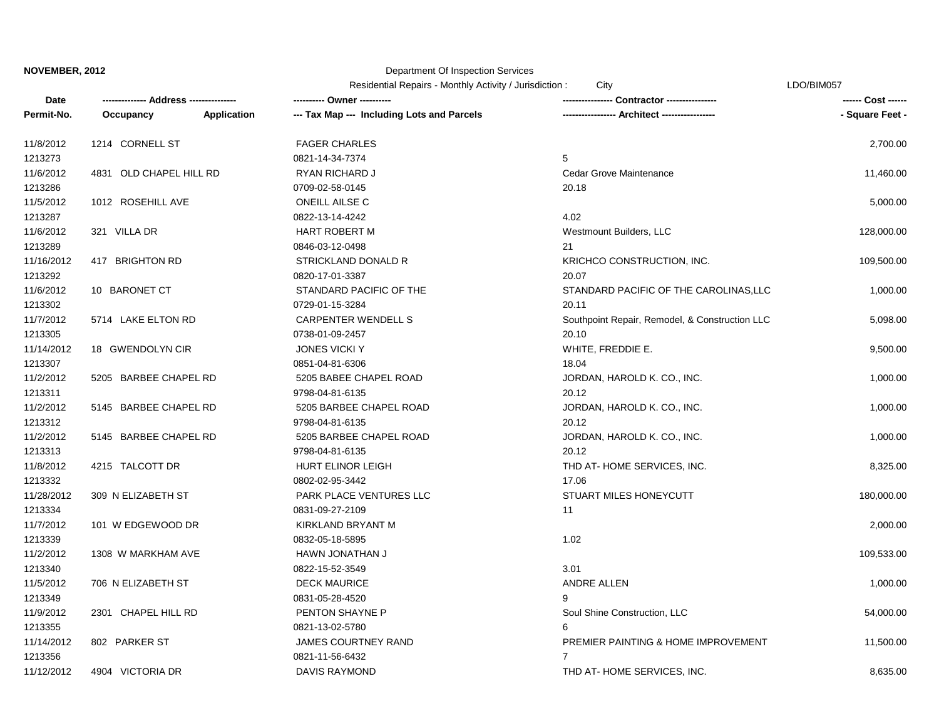## Department Of Inspection Services

Residential Repairs - Monthly Activity / Jurisdiction : City Changes Contained the CDO/BIM057

| Date       |                         |                    | ---------- Owner ----------                |                                                | ------ Cost ------ |
|------------|-------------------------|--------------------|--------------------------------------------|------------------------------------------------|--------------------|
| Permit-No. | Occupancy               | <b>Application</b> | --- Tax Map --- Including Lots and Parcels |                                                | - Square Feet -    |
| 11/8/2012  | 1214 CORNELL ST         |                    | <b>FAGER CHARLES</b>                       |                                                | 2,700.00           |
| 1213273    |                         |                    | 0821-14-34-7374                            | 5                                              |                    |
| 11/6/2012  | 4831 OLD CHAPEL HILL RD |                    | RYAN RICHARD J                             | Cedar Grove Maintenance                        | 11,460.00          |
| 1213286    |                         |                    | 0709-02-58-0145                            | 20.18                                          |                    |
| 11/5/2012  | 1012 ROSEHILL AVE       |                    | <b>ONEILL AILSE C</b>                      |                                                | 5,000.00           |
| 1213287    |                         |                    | 0822-13-14-4242                            | 4.02                                           |                    |
| 11/6/2012  | 321 VILLA DR            |                    | HART ROBERT M                              | Westmount Builders, LLC                        | 128,000.00         |
| 1213289    |                         |                    | 0846-03-12-0498                            | 21                                             |                    |
| 11/16/2012 | 417 BRIGHTON RD         |                    | STRICKLAND DONALD R                        | KRICHCO CONSTRUCTION, INC.                     | 109,500.00         |
| 1213292    |                         |                    | 0820-17-01-3387                            | 20.07                                          |                    |
| 11/6/2012  | 10 BARONET CT           |                    | STANDARD PACIFIC OF THE                    | STANDARD PACIFIC OF THE CAROLINAS, LLC         | 1,000.00           |
| 1213302    |                         |                    | 0729-01-15-3284                            | 20.11                                          |                    |
| 11/7/2012  | 5714 LAKE ELTON RD      |                    | CARPENTER WENDELL S                        | Southpoint Repair, Remodel, & Construction LLC | 5,098.00           |
| 1213305    |                         |                    | 0738-01-09-2457                            | 20.10                                          |                    |
| 11/14/2012 | 18 GWENDOLYN CIR        |                    | <b>JONES VICKI Y</b>                       | WHITE, FREDDIE E.                              | 9,500.00           |
| 1213307    |                         |                    | 0851-04-81-6306                            | 18.04                                          |                    |
| 11/2/2012  | 5205 BARBEE CHAPEL RD   |                    | 5205 BABEE CHAPEL ROAD                     | JORDAN, HAROLD K. CO., INC.                    | 1,000.00           |
| 1213311    |                         |                    | 9798-04-81-6135                            | 20.12                                          |                    |
| 11/2/2012  | 5145 BARBEE CHAPEL RD   |                    | 5205 BARBEE CHAPEL ROAD                    | JORDAN, HAROLD K. CO., INC.                    | 1,000.00           |
| 1213312    |                         |                    | 9798-04-81-6135                            | 20.12                                          |                    |
| 11/2/2012  | 5145 BARBEE CHAPEL RD   |                    | 5205 BARBEE CHAPEL ROAD                    | JORDAN, HAROLD K. CO., INC.                    | 1,000.00           |
| 1213313    |                         |                    | 9798-04-81-6135                            | 20.12                                          |                    |
| 11/8/2012  | 4215 TALCOTT DR         |                    | <b>HURT ELINOR LEIGH</b>                   | THD AT-HOME SERVICES, INC.                     | 8,325.00           |
| 1213332    |                         |                    | 0802-02-95-3442                            | 17.06                                          |                    |
| 11/28/2012 | 309 N ELIZABETH ST      |                    | PARK PLACE VENTURES LLC                    | STUART MILES HONEYCUTT                         | 180,000.00         |
| 1213334    |                         |                    | 0831-09-27-2109                            | 11                                             |                    |
| 11/7/2012  | 101 W EDGEWOOD DR       |                    | <b>KIRKLAND BRYANT M</b>                   |                                                | 2,000.00           |
| 1213339    |                         |                    | 0832-05-18-5895                            | 1.02                                           |                    |
| 11/2/2012  | 1308 W MARKHAM AVE      |                    | HAWN JONATHAN J                            |                                                | 109,533.00         |
| 1213340    |                         |                    | 0822-15-52-3549                            | 3.01                                           |                    |
| 11/5/2012  | 706 N ELIZABETH ST      |                    | <b>DECK MAURICE</b>                        | ANDRE ALLEN                                    | 1,000.00           |
| 1213349    |                         |                    | 0831-05-28-4520                            | 9                                              |                    |
| 11/9/2012  | 2301 CHAPEL HILL RD     |                    | PENTON SHAYNE P                            | Soul Shine Construction, LLC                   | 54,000.00          |
| 1213355    |                         |                    | 0821-13-02-5780                            | 6                                              |                    |
| 11/14/2012 | 802 PARKER ST           |                    | <b>JAMES COURTNEY RAND</b>                 | PREMIER PAINTING & HOME IMPROVEMENT            | 11,500.00          |
| 1213356    |                         |                    | 0821-11-56-6432                            | $\overline{7}$                                 |                    |
| 11/12/2012 | 4904 VICTORIA DR        |                    | <b>DAVIS RAYMOND</b>                       | THD AT-HOME SERVICES, INC.                     | 8,635.00           |
|            |                         |                    |                                            |                                                |                    |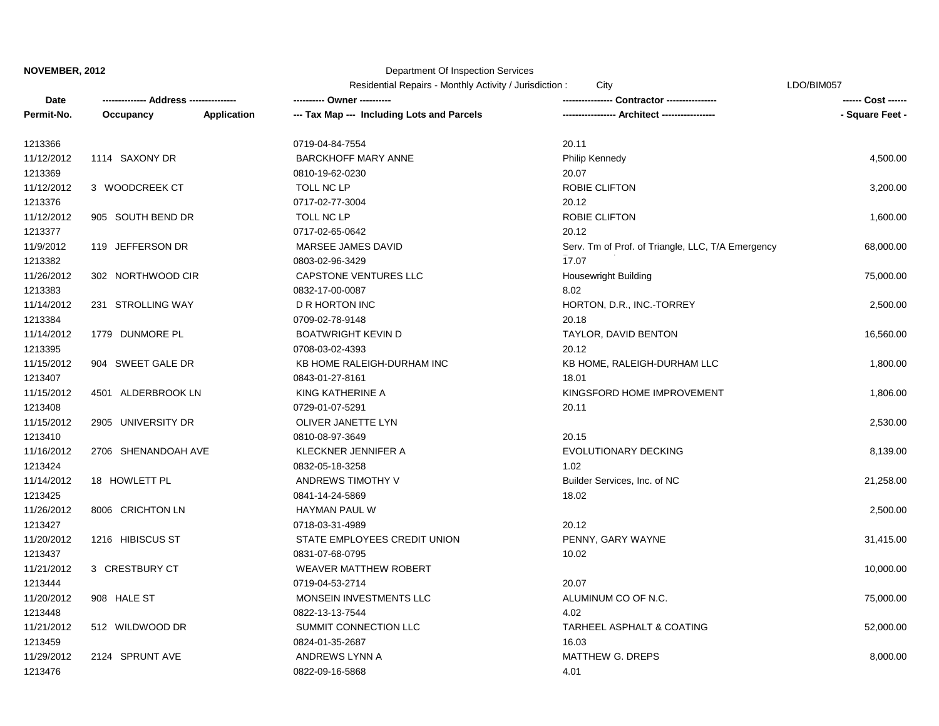#### Department Of Inspection Services

|            | Address-            |                    | City<br>Residential Repairs - Monthly Activity / Jurisdiction: |                                                   | LDO/BIM057      |  |
|------------|---------------------|--------------------|----------------------------------------------------------------|---------------------------------------------------|-----------------|--|
| Date       |                     |                    | ---------- Owner --                                            | <b>Contractor ---------</b>                       |                 |  |
| Permit-No. | Occupancy           | <b>Application</b> | --- Tax Map --- Including Lots and Parcels                     | -- Architect -----------------                    | - Square Feet - |  |
| 1213366    |                     |                    | 0719-04-84-7554                                                | 20.11                                             |                 |  |
| 11/12/2012 | 1114 SAXONY DR      |                    | <b>BARCKHOFF MARY ANNE</b>                                     | Philip Kennedy                                    | 4,500.00        |  |
| 1213369    |                     |                    | 0810-19-62-0230                                                | 20.07                                             |                 |  |
| 11/12/2012 | 3 WOODCREEK CT      |                    | TOLL NC LP                                                     | <b>ROBIE CLIFTON</b>                              | 3,200.00        |  |
| 1213376    |                     |                    | 0717-02-77-3004                                                | 20.12                                             |                 |  |
| 11/12/2012 | 905 SOUTH BEND DR   |                    | TOLL NC LP                                                     | ROBIE CLIFTON                                     | 1,600.00        |  |
| 1213377    |                     |                    | 0717-02-65-0642                                                | 20.12                                             |                 |  |
| 11/9/2012  | 119 JEFFERSON DR    |                    | MARSEE JAMES DAVID                                             | Serv. Tm of Prof. of Triangle, LLC, T/A Emergency | 68,000.00       |  |
| 1213382    |                     |                    | 0803-02-96-3429                                                | 17.07                                             |                 |  |
| 11/26/2012 | 302 NORTHWOOD CIR   |                    | <b>CAPSTONE VENTURES LLC</b>                                   | <b>Housewright Building</b>                       | 75,000.00       |  |
| 1213383    |                     |                    | 0832-17-00-0087                                                | 8.02                                              |                 |  |
| 11/14/2012 | 231 STROLLING WAY   |                    | D R HORTON INC                                                 | HORTON, D.R., INC.-TORREY                         | 2,500.00        |  |
| 1213384    |                     |                    | 0709-02-78-9148                                                | 20.18                                             |                 |  |
| 11/14/2012 | 1779 DUNMORE PL     |                    | <b>BOATWRIGHT KEVIN D</b>                                      | TAYLOR, DAVID BENTON                              | 16,560.00       |  |
| 1213395    |                     |                    | 0708-03-02-4393                                                | 20.12                                             |                 |  |
| 11/15/2012 | 904 SWEET GALE DR   |                    | KB HOME RALEIGH-DURHAM INC                                     | KB HOME, RALEIGH-DURHAM LLC                       | 1,800.00        |  |
| 1213407    |                     |                    | 0843-01-27-8161                                                | 18.01                                             |                 |  |
| 11/15/2012 | 4501 ALDERBROOK LN  |                    | KING KATHERINE A                                               | KINGSFORD HOME IMPROVEMENT                        | 1,806.00        |  |
| 1213408    |                     |                    | 0729-01-07-5291                                                | 20.11                                             |                 |  |
| 11/15/2012 | 2905 UNIVERSITY DR  |                    | OLIVER JANETTE LYN                                             |                                                   | 2,530.00        |  |
| 1213410    |                     |                    | 0810-08-97-3649                                                | 20.15                                             |                 |  |
| 11/16/2012 | 2706 SHENANDOAH AVE |                    | KLECKNER JENNIFER A                                            | EVOLUTIONARY DECKING                              | 8,139.00        |  |
| 1213424    |                     |                    | 0832-05-18-3258                                                | 1.02                                              |                 |  |
| 11/14/2012 | 18 HOWLETT PL       |                    | ANDREWS TIMOTHY V                                              | Builder Services, Inc. of NC                      | 21,258.00       |  |
| 1213425    |                     |                    | 0841-14-24-5869                                                | 18.02                                             |                 |  |
| 11/26/2012 | 8006 CRICHTON LN    |                    | <b>HAYMAN PAUL W</b>                                           |                                                   | 2,500.00        |  |
| 1213427    |                     |                    | 0718-03-31-4989                                                | 20.12                                             |                 |  |
| 11/20/2012 | 1216 HIBISCUS ST    |                    | STATE EMPLOYEES CREDIT UNION                                   | PENNY, GARY WAYNE                                 | 31,415.00       |  |
| 1213437    |                     |                    | 0831-07-68-0795                                                | 10.02                                             |                 |  |
| 11/21/2012 | 3 CRESTBURY CT      |                    | <b>WEAVER MATTHEW ROBERT</b>                                   |                                                   | 10,000.00       |  |
| 1213444    |                     |                    | 0719-04-53-2714                                                | 20.07                                             |                 |  |
| 11/20/2012 | 908 HALE ST         |                    | MONSEIN INVESTMENTS LLC                                        | ALUMINUM CO OF N.C.                               | 75,000.00       |  |
| 1213448    |                     |                    | 0822-13-13-7544                                                | 4.02                                              |                 |  |
| 11/21/2012 | 512 WILDWOOD DR     |                    | SUMMIT CONNECTION LLC                                          | TARHEEL ASPHALT & COATING                         | 52,000.00       |  |
| 1213459    |                     |                    | 0824-01-35-2687                                                | 16.03                                             |                 |  |
| 11/29/2012 | 2124 SPRUNT AVE     |                    | ANDREWS LYNN A                                                 | <b>MATTHEW G. DREPS</b>                           | 8,000.00        |  |

1213476 0822-09-16-5868 4.01